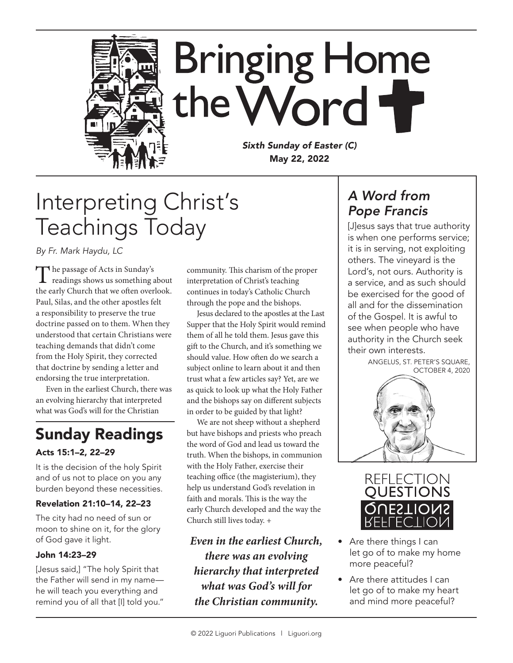

# Interpreting Christ's Teachings Today

*By Fr. Mark Haydu, LC*

The passage of Acts in Sunday's readings shows us something about the early Church that we often overlook. Paul, Silas, and the other apostles felt a responsibility to preserve the true doctrine passed on to them. When they understood that certain Christians were teaching demands that didn't come from the Holy Spirit, they corrected that doctrine by sending a letter and endorsing the true interpretation.

Even in the earliest Church, there was an evolving hierarchy that interpreted what was God's will for the Christian

## Sunday Readings

#### Acts 15:1–2, 22–29

It is the decision of the holy Spirit and of us not to place on you any burden beyond these necessities.

#### Revelation 21:10–14, 22–23

The city had no need of sun or moon to shine on it, for the glory of God gave it light.

#### John 14:23–29

[Jesus said,] "The holy Spirit that the Father will send in my name he will teach you everything and remind you of all that [I] told you." community. This charism of the proper interpretation of Christ's teaching continues in today's Catholic Church through the pope and the bishops.

Jesus declared to the apostles at the Last Supper that the Holy Spirit would remind them of all he told them. Jesus gave this gift to the Church, and it's something we should value. How often do we search a subject online to learn about it and then trust what a few articles say? Yet, are we as quick to look up what the Holy Father and the bishops say on different subjects in order to be guided by that light?

We are not sheep without a shepherd but have bishops and priests who preach the word of God and lead us toward the truth. When the bishops, in communion with the Holy Father, exercise their teaching office (the magisterium), they help us understand God's revelation in faith and morals. This is the way the early Church developed and the way the Church still lives today. +

*Even in the earliest Church, there was an evolving hierarchy that interpreted what was God's will for the Christian community.*

### *A Word from Pope Francis*

[J]esus says that true authority is when one performs service; it is in serving, not exploiting others. The vineyard is the Lord's, not ours. Authority is a service, and as such should be exercised for the good of all and for the dissemination of the Gospel. It is awful to see when people who have authority in the Church seek their own interests.

ANGELUS, ST. PETER'S SQUARE, OCTOBER 4, 2020





- Are there things I can let go of to make my home more peaceful?
- Are there attitudes I can let go of to make my heart and mind more peaceful?